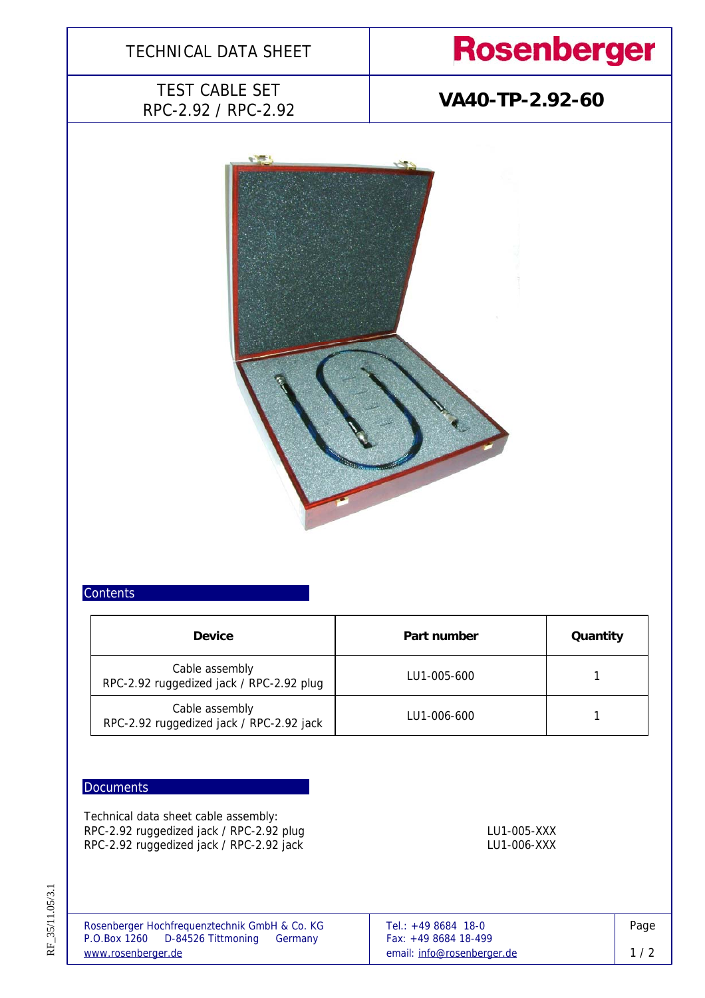

### **Contents**

| <b>Device</b>                                              | Part number | Quantity |  |
|------------------------------------------------------------|-------------|----------|--|
| Cable assembly<br>RPC-2.92 ruggedized jack / RPC-2.92 plug | LU1-005-600 |          |  |
| Cable assembly<br>RPC-2.92 ruggedized jack / RPC-2.92 jack | LU1-006-600 |          |  |

### **Documents**

Technical data sheet cable assembly: RPC-2.92 ruggedized jack / RPC-2.92 plug LU1-005-XXX LU1-005-XXX RPC-2.92 ruggedized jack / RPC-2.92 jack LU1-006-XXX LU1-006-XXX

RF\_35/11.05/3.1 RF\_35/11.05/3.1

| Rosenberger Hochfrequenztechnik GmbH & Co. KG | Tel.: $+498684$ 18-0       | Page |
|-----------------------------------------------|----------------------------|------|
| P.O.Box 1260 D-84526 Tittmoning<br>Germany    | Fax: $+49868418-499$       |      |
| www.rosenberger.de                            | email: info@rosenberger.de | 1/2  |